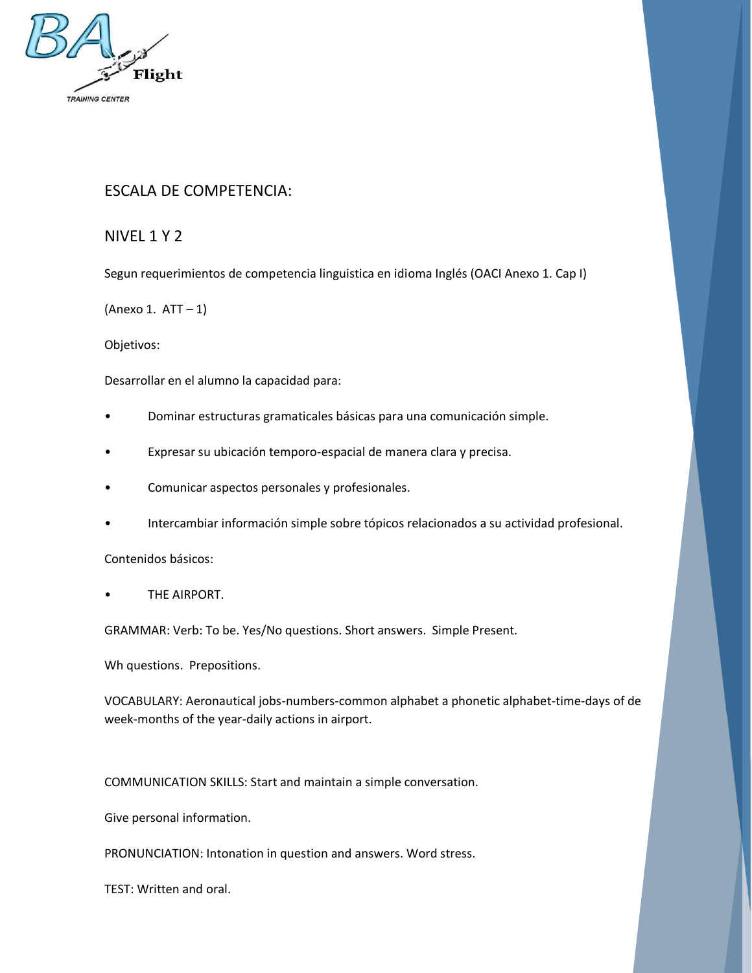

## ESCALA DE COMPETENCIA:

NIVEL 1 Y 2

Segun requerimientos de competencia linguistica en idioma Inglés (OACI Anexo 1. Cap I)

(Anexo 1.  $ATT - 1$ )

Objetivos:

Desarrollar en el alumno la capacidad para:

- Dominar estructuras gramaticales básicas para una comunicación simple.
- Expresar su ubicación temporo-espacial de manera clara y precisa.
- Comunicar aspectos personales y profesionales.
- Intercambiar información simple sobre tópicos relacionados a su actividad profesional.

Contenidos básicos:

THE AIRPORT.

GRAMMAR: Verb: To be. Yes/No questions. Short answers. Simple Present.

Wh questions. Prepositions.

VOCABULARY: Aeronautical jobs-numbers-common alphabet a phonetic alphabet-time-days of de week-months of the year-daily actions in airport.

COMMUNICATION SKILLS: Start and maintain a simple conversation.

Give personal information.

PRONUNCIATION: Intonation in question and answers. Word stress.

TEST: Written and oral.